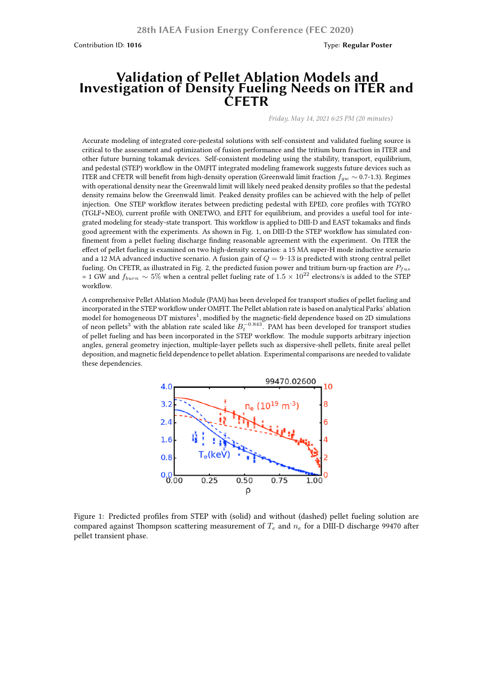Contribution ID: **1016** Type: **Regular Poster**

## **Validation of Pellet Ablation Models and Investigation of Density Fueling Needs on ITER and CFETR**

*Friday, May 14, 2021 6:25 PM (20 minutes)*

Accurate modeling of integrated core-pedestal solutions with self-consistent and validated fueling source is critical to the assessment and optimization of fusion performance and the tritium burn fraction in ITER and other future burning tokamak devices. Self-consistent modeling using the stability, transport, equilibrium, and pedestal (STEP) workflow in the OMFIT integrated modeling framework suggests future devices such as ITER and CFETR will benefit from high-density operation (Greenwald limit fraction *fgw ∼* 0.7-1.3). Regimes with operational density near the Greenwald limit will likely need peaked density profiles so that the pedestal density remains below the Greenwald limit. Peaked density profiles can be achieved with the help of pellet injection. One STEP workflow iterates between predicting pedestal with EPED, core profiles with TGYRO (TGLF+NEO), current profile with ONETWO, and EFIT for equilibrium, and provides a useful tool for integrated modeling for steady-state transport. This workflow is applied to DIII-D and EAST tokamaks and finds good agreement with the experiments. As shown in Fig. 1, on DIII-D the STEP workflow has simulated confinement from a pellet fueling discharge finding reasonable agreement with the experiment. On ITER the effect of pellet fueling is examined on two high-density scenarios: a 15 MA super-H mode inductive scenario and a 12 MA advanced inductive scenario. A fusion gain of  $Q = 9-13$  is predicted with strong central pellet fueling. On CFETR, as illustrated in Fig. 2, the predicted fusion power and tritium burn-up fraction are *Pfus* = 1 GW and *<sup>f</sup>burn <sup>∼</sup>* <sup>5</sup>% when a central pellet fueling rate of <sup>1</sup>*.*<sup>5</sup> *<sup>×</sup>* <sup>10</sup><sup>22</sup> electrons/s is added to the STEP workflow.

A comprehensive Pellet Ablation Module (PAM) has been developed for transport studies of pellet fueling and incorporated in the STEP workflow under OMFIT.The Pellet ablation rate is based on analytical Parks' ablation model for homogeneous DT mixtures $^1$ , modified by the magnetic-field dependence based on 2D simulations of neon pellets<sup>3</sup> with the ablation rate scaled like  $B_t^{−0.843}$ . PAM has been developed for transport studies of pellet fueling and has been incorporated in the STEP workflow. The module supports arbitrary injection angles, general geometry injection, multiple-layer pellets such as dispersive-shell pellets, finite areal pellet deposition, and magnetic field dependence to pellet ablation. Experimental comparisons are needed to validate these dependencies.



Figure 1: Predicted profiles from STEP with (solid) and without (dashed) pellet fueling solution are compared against Thompson scattering measurement of *T<sup>e</sup>* and *n<sup>e</sup>* for a DIII-D discharge 99470 after pellet transient phase.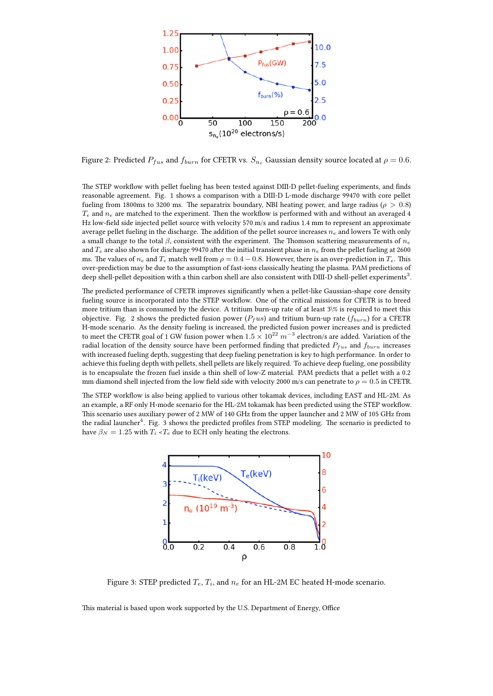

Figure 2: Predicted  $P_{fus}$  and  $f_{burn}$  for CFETR vs.  $S_{n_e}$  Gaussian density source located at  $\rho = 0.6$ .

The STEP workflow with pellet fueling has been tested against DIII-D pellet-fueling experiments, and finds reasonable agreement. Fig. 1 shows a comparison with a DIII-D L-mode discharge 99470 with core pellet fueling from 1800ms to 3200 ms. The separatrix boundary, NBI heating power, and large radius ( $\rho > 0.8$ )  $T_e$  and  $n_e$  are matched to the experiment. Then the workflow is performed with and without an averaged 4 Hz low-field side injected pellet source with velocity 570 m/s and radius 1.4 mm to represent an approximate average pellet fueling in the discharge. The addition of the pellet source increases *n<sup>e</sup>* and lowers Te with only a small change to the total *β*, consistent with the experiment. The Thomson scattering measurements of *n<sup>e</sup>* and  $T_e$  are also shown for discharge 99470 after the initial transient phase in  $n_e$  from the pellet fueling at 2600 ms. The values of  $n_e$  and  $T_e$  match well from  $\rho = 0.4 - 0.8$ . However, there is an over-prediction in  $T_e$ . This over-prediction may be due to the assumption of fast-ions classically heating the plasma. PAM predictions of deep shell-pellet deposition with a thin carbon shell are also consistent with DIII-D shell-pellet experiments $^3\!$ .

The predicted performance of CFETR improves significantly when a pellet-like Gaussian-shape core density fueling source is incorporated into the STEP workflow. One of the critical missions for CFETR is to breed more tritium than is consumed by the device. A tritium burn-up rate of at least 3\% is required to meet this objective. Fig. 2 shows the predicted fusion power ( $P_fus$ ) and tritium burn-up rate ( $f_{burn}$ ) for a CFETR H-mode scenario. As the density fueling is increased, the predicted fusion power increases and is predicted to meet the CFETR goal of 1 GW fusion power when  $1.5 \times 10^{22}~m^{-3}$  electron/s are added. Variation of the radial location of the density source have been performed finding that predicted *Pfus* and *fburn* increases with increased fueling depth, suggesting that deep fueling penetration is key to high performance. In order to achieve this fueling depth with pellets, shell pellets are likely required. To achieve deep fueling, one possibility is to encapsulate the frozen fuel inside a thin shell of low-Z material. PAM predicts that a pellet with a 0.2 mm diamond shell injected from the low field side with velocity 2000 m/s can penetrate to  $\rho = 0.5$  in CFETR.

The STEP workflow is also being applied to various other tokamak devices, including EAST and HL-2M. As an example, a RF only H-mode scenario for the HL-2M tokamak has been predicted using the STEP workflow. This scenario uses auxiliary power of 2 MW of 140 GHz from the upper launcher and 2 MW of 105 GHz from the radial launcher<sup>4</sup>. Fig. 3 shows the predicted profiles from STEP modeling. The scenario is predicted to have  $\beta_N = 1.25$  with  $T_i \leq T_e$  due to ECH only heating the electrons.



Figure 3: STEP predicted  $T_e, T_i,$  and  $n_e$  for an HL-2M EC heated H-mode scenario.

This material is based upon work supported by the U.S. Department of Energy, Office